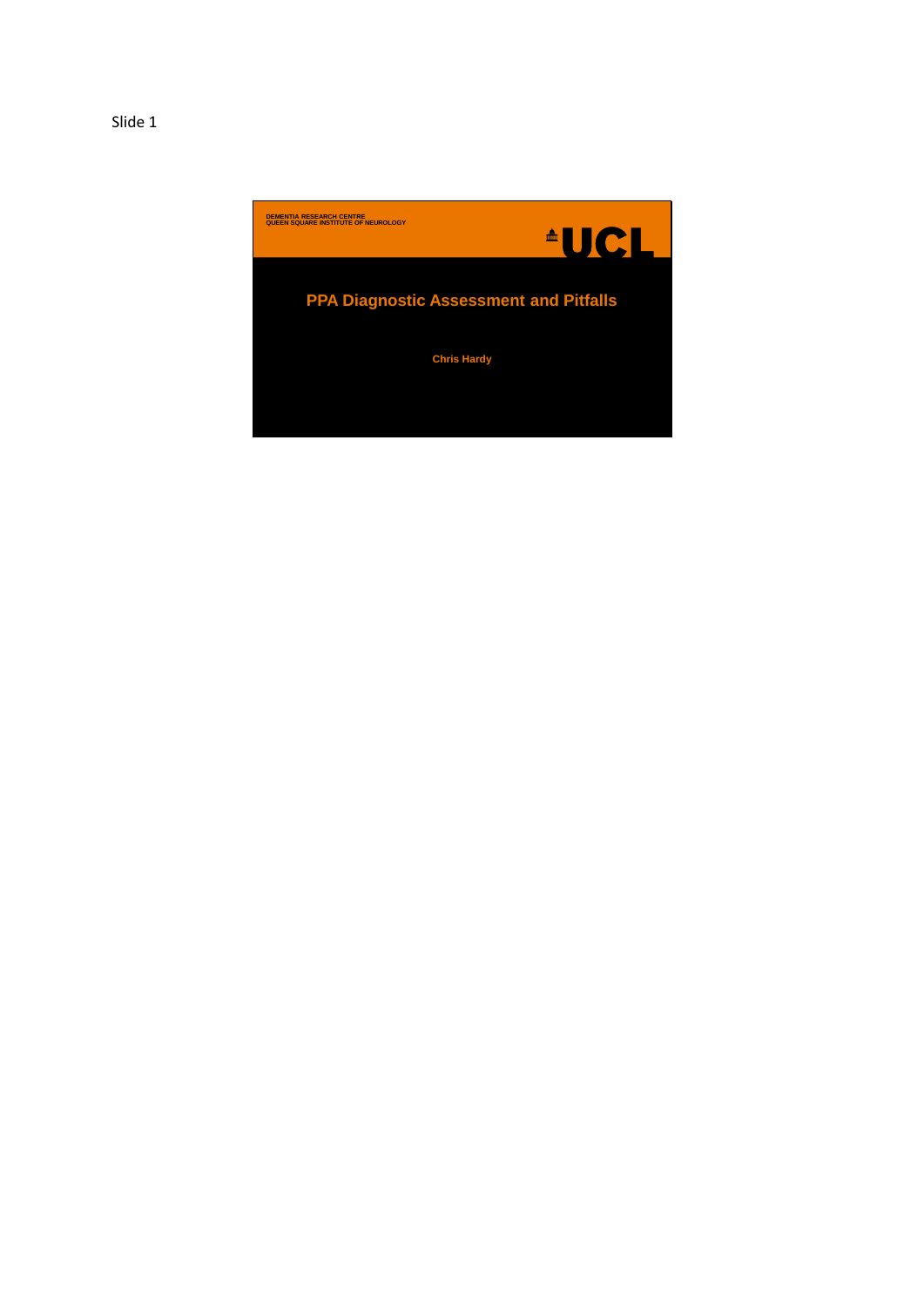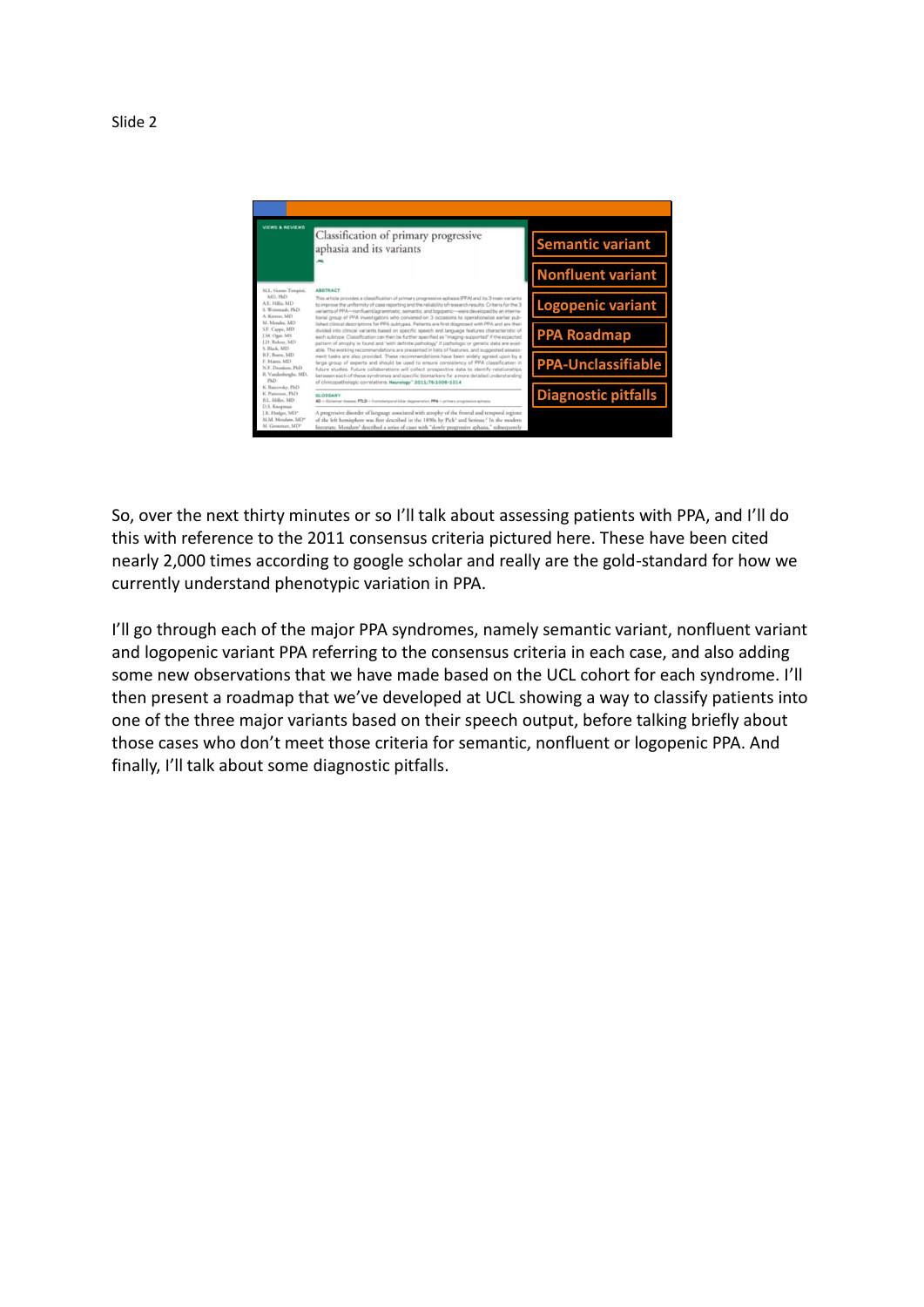

So, over the next thirty minutes or so I'll talk about assessing patients with PPA, and I'll do this with reference to the 2011 consensus criteria pictured here. These have been cited nearly 2,000 times according to google scholar and really are the gold-standard for how we currently understand phenotypic variation in PPA.

I'll go through each of the major PPA syndromes, namely semantic variant, nonfluent variant and logopenic variant PPA referring to the consensus criteria in each case, and also adding some new observations that we have made based on the UCL cohort for each syndrome. I'll then present a roadmap that we've developed at UCL showing a way to classify patients into one of the three major variants based on their speech output, before talking briefly about those cases who don't meet those criteria for semantic, nonfluent or logopenic PPA. And finally, I'll talk about some diagnostic pitfalls.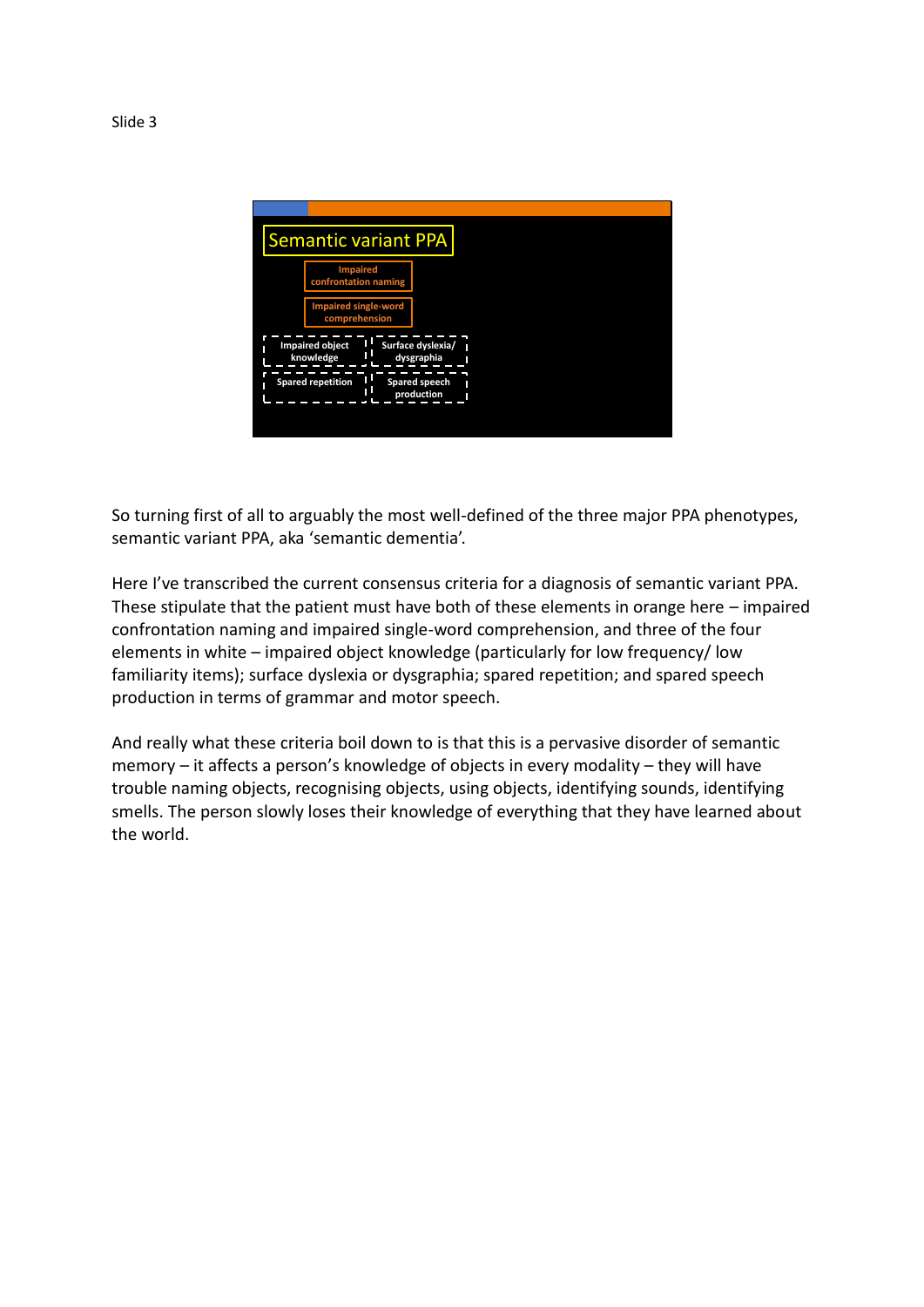

So turning first of all to arguably the most well-defined of the three major PPA phenotypes, semantic variant PPA, aka 'semantic dementia'.

Here I've transcribed the current consensus criteria for a diagnosis of semantic variant PPA. These stipulate that the patient must have both of these elements in orange here – impaired confrontation naming and impaired single-word comprehension, and three of the four elements in white – impaired object knowledge (particularly for low frequency/ low familiarity items); surface dyslexia or dysgraphia; spared repetition; and spared speech production in terms of grammar and motor speech.

And really what these criteria boil down to is that this is a pervasive disorder of semantic memory – it affects a person's knowledge of objects in every modality – they will have trouble naming objects, recognising objects, using objects, identifying sounds, identifying smells. The person slowly loses their knowledge of everything that they have learned about the world.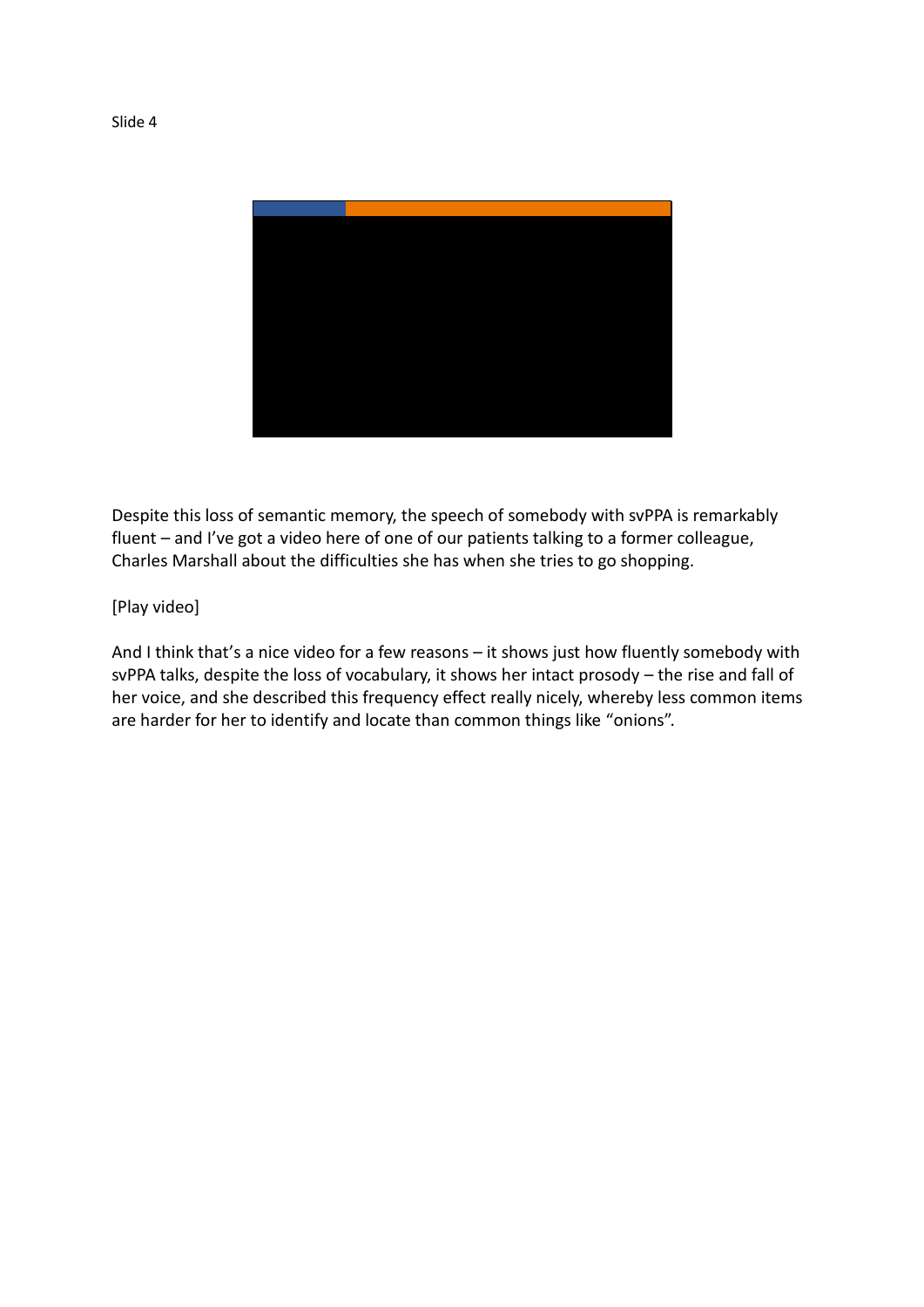

Despite this loss of semantic memory, the speech of somebody with svPPA is remarkably fluent – and I've got a video here of one of our patients talking to a former colleague, Charles Marshall about the difficulties she has when she tries to go shopping.

## [Play video]

And I think that's a nice video for a few reasons – it shows just how fluently somebody with svPPA talks, despite the loss of vocabulary, it shows her intact prosody – the rise and fall of her voice, and she described this frequency effect really nicely, whereby less common items are harder for her to identify and locate than common things like "onions".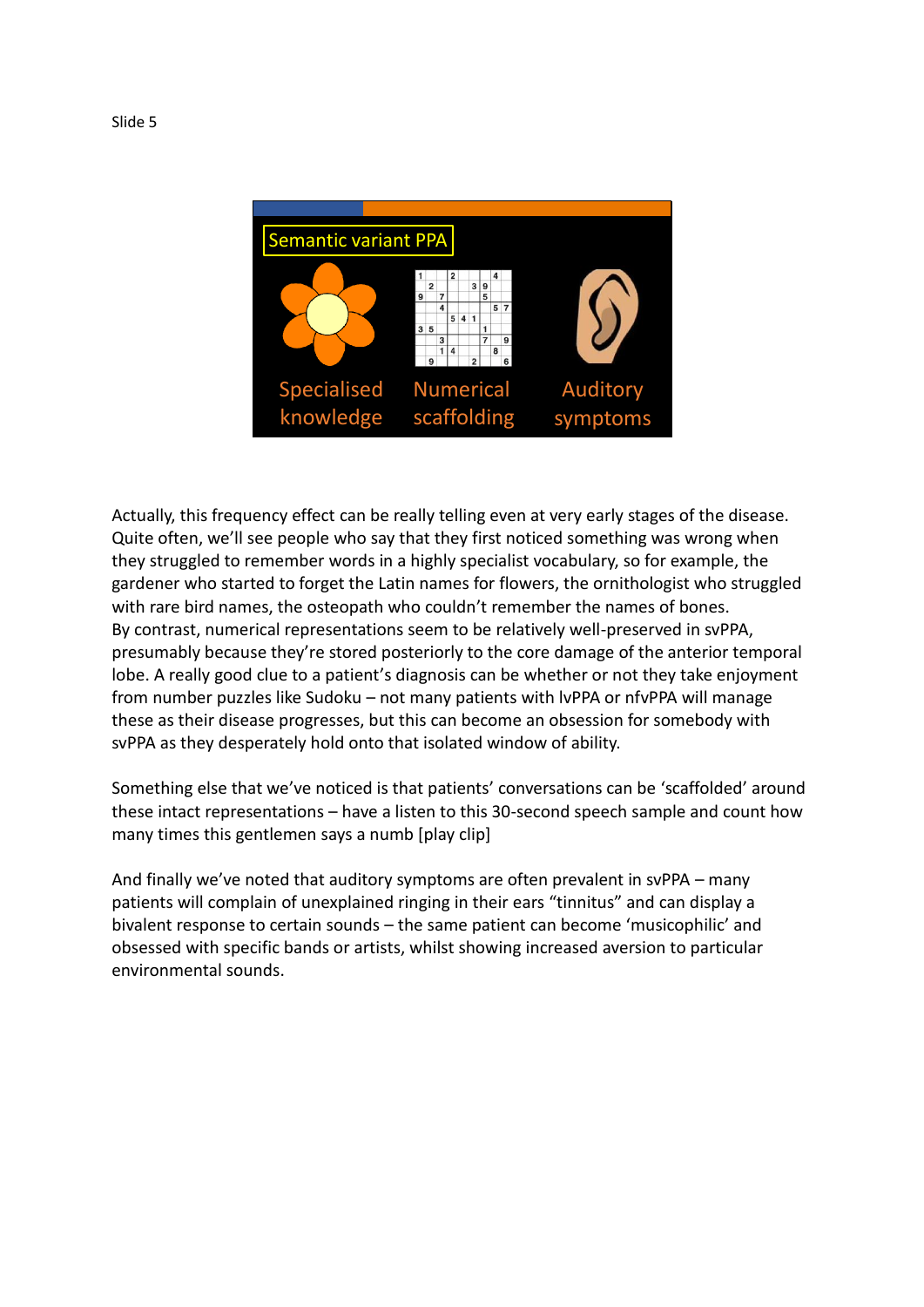

Actually, this frequency effect can be really telling even at very early stages of the disease. Quite often, we'll see people who say that they first noticed something was wrong when they struggled to remember words in a highly specialist vocabulary, so for example, the gardener who started to forget the Latin names for flowers, the ornithologist who struggled with rare bird names, the osteopath who couldn't remember the names of bones. By contrast, numerical representations seem to be relatively well-preserved in svPPA, presumably because they're stored posteriorly to the core damage of the anterior temporal lobe. A really good clue to a patient's diagnosis can be whether or not they take enjoyment from number puzzles like Sudoku – not many patients with lvPPA or nfvPPA will manage these as their disease progresses, but this can become an obsession for somebody with svPPA as they desperately hold onto that isolated window of ability.

Something else that we've noticed is that patients' conversations can be 'scaffolded' around these intact representations – have a listen to this 30-second speech sample and count how many times this gentlemen says a numb [play clip]

And finally we've noted that auditory symptoms are often prevalent in svPPA – many patients will complain of unexplained ringing in their ears "tinnitus" and can display a bivalent response to certain sounds – the same patient can become 'musicophilic' and obsessed with specific bands or artists, whilst showing increased aversion to particular environmental sounds.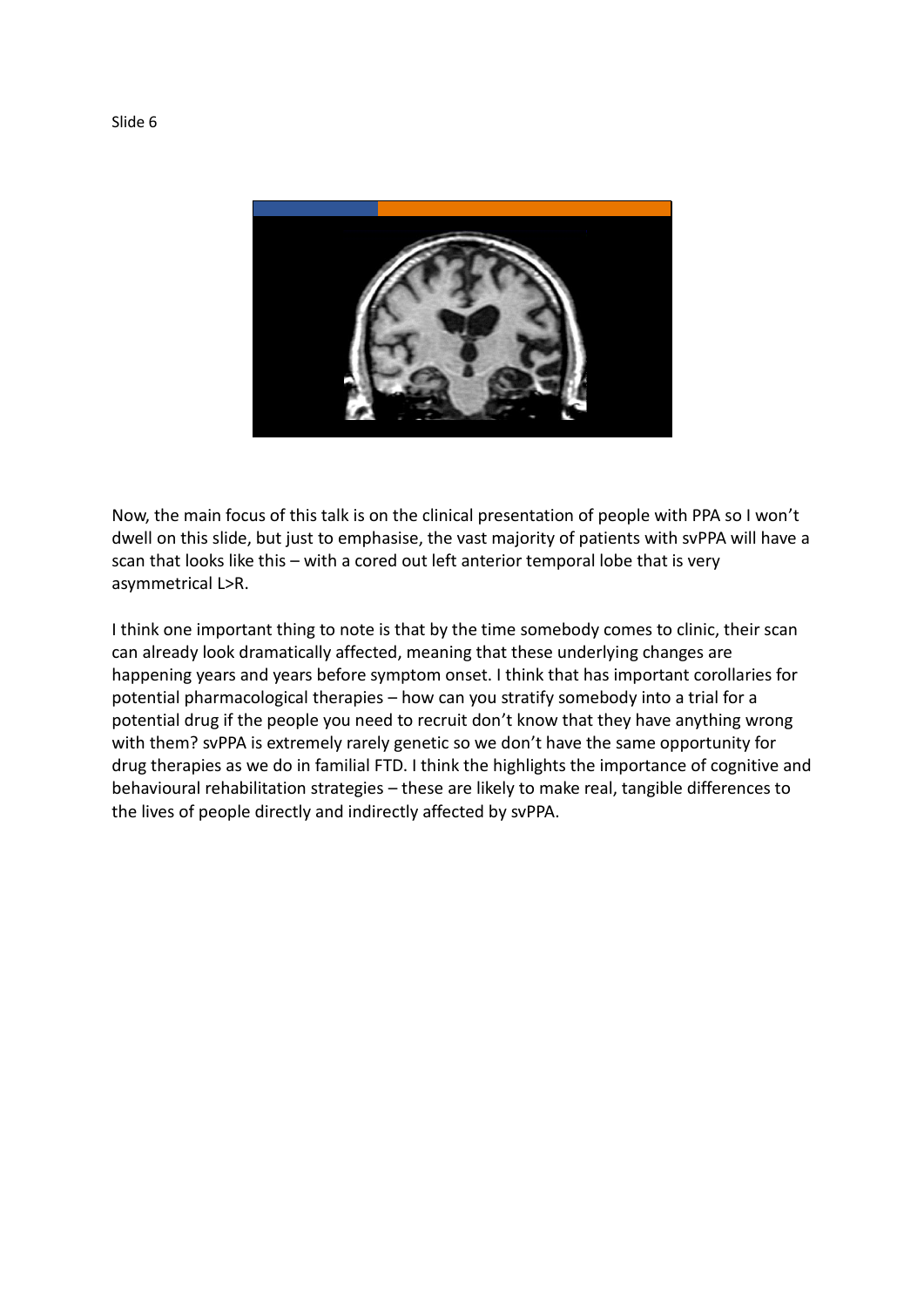

Now, the main focus of this talk is on the clinical presentation of people with PPA so I won't dwell on this slide, but just to emphasise, the vast majority of patients with svPPA will have a scan that looks like this – with a cored out left anterior temporal lobe that is very asymmetrical L>R.

I think one important thing to note is that by the time somebody comes to clinic, their scan can already look dramatically affected, meaning that these underlying changes are happening years and years before symptom onset. I think that has important corollaries for potential pharmacological therapies – how can you stratify somebody into a trial for a potential drug if the people you need to recruit don't know that they have anything wrong with them? svPPA is extremely rarely genetic so we don't have the same opportunity for drug therapies as we do in familial FTD. I think the highlights the importance of cognitive and behavioural rehabilitation strategies – these are likely to make real, tangible differences to the lives of people directly and indirectly affected by svPPA.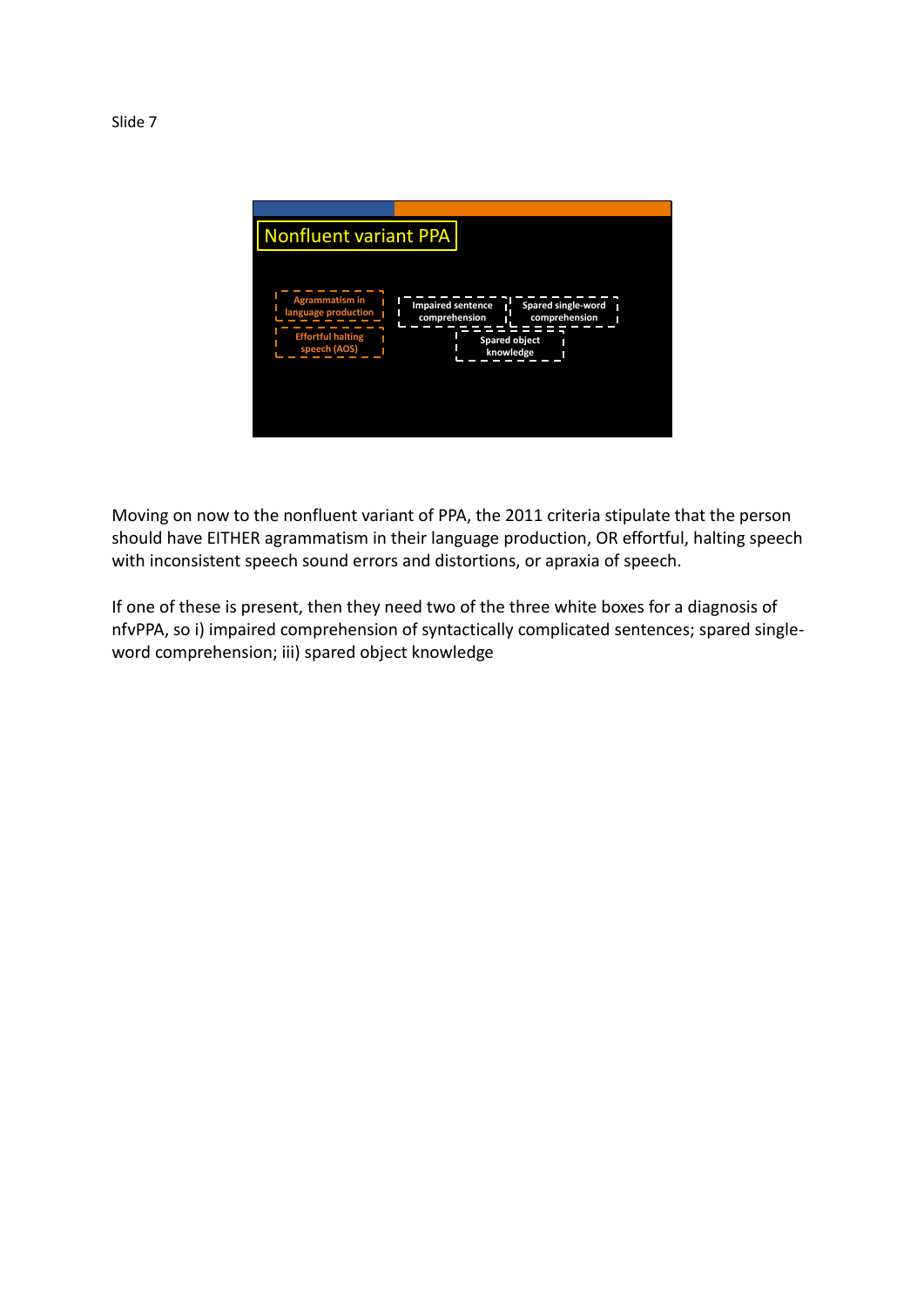

Moving on now to the nonfluent variant of PPA, the 2011 criteria stipulate that the person should have EITHER agrammatism in their language production, OR effortful, halting speech with inconsistent speech sound errors and distortions, or apraxia of speech.

If one of these is present, then they need two of the three white boxes for a diagnosis of nfvPPA, so i) impaired comprehension of syntactically complicated sentences; spared singleword comprehension; iii) spared object knowledge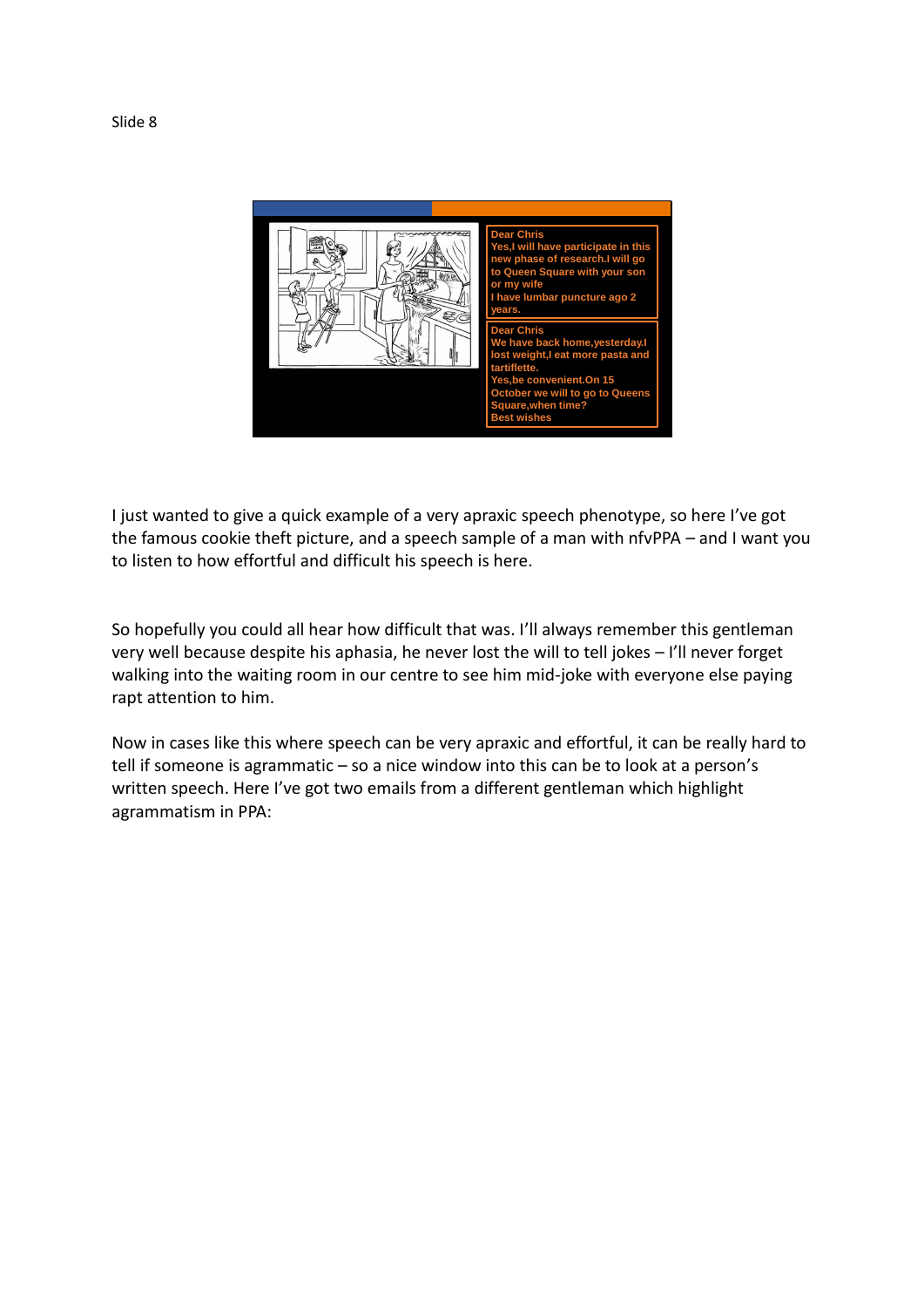

I just wanted to give a quick example of a very apraxic speech phenotype, so here I've got the famous cookie theft picture, and a speech sample of a man with nfvPPA – and I want you to listen to how effortful and difficult his speech is here.

So hopefully you could all hear how difficult that was. I'll always remember this gentleman very well because despite his aphasia, he never lost the will to tell jokes – I'll never forget walking into the waiting room in our centre to see him mid-joke with everyone else paying rapt attention to him.

Now in cases like this where speech can be very apraxic and effortful, it can be really hard to tell if someone is agrammatic – so a nice window into this can be to look at a person's written speech. Here I've got two emails from a different gentleman which highlight agrammatism in PPA: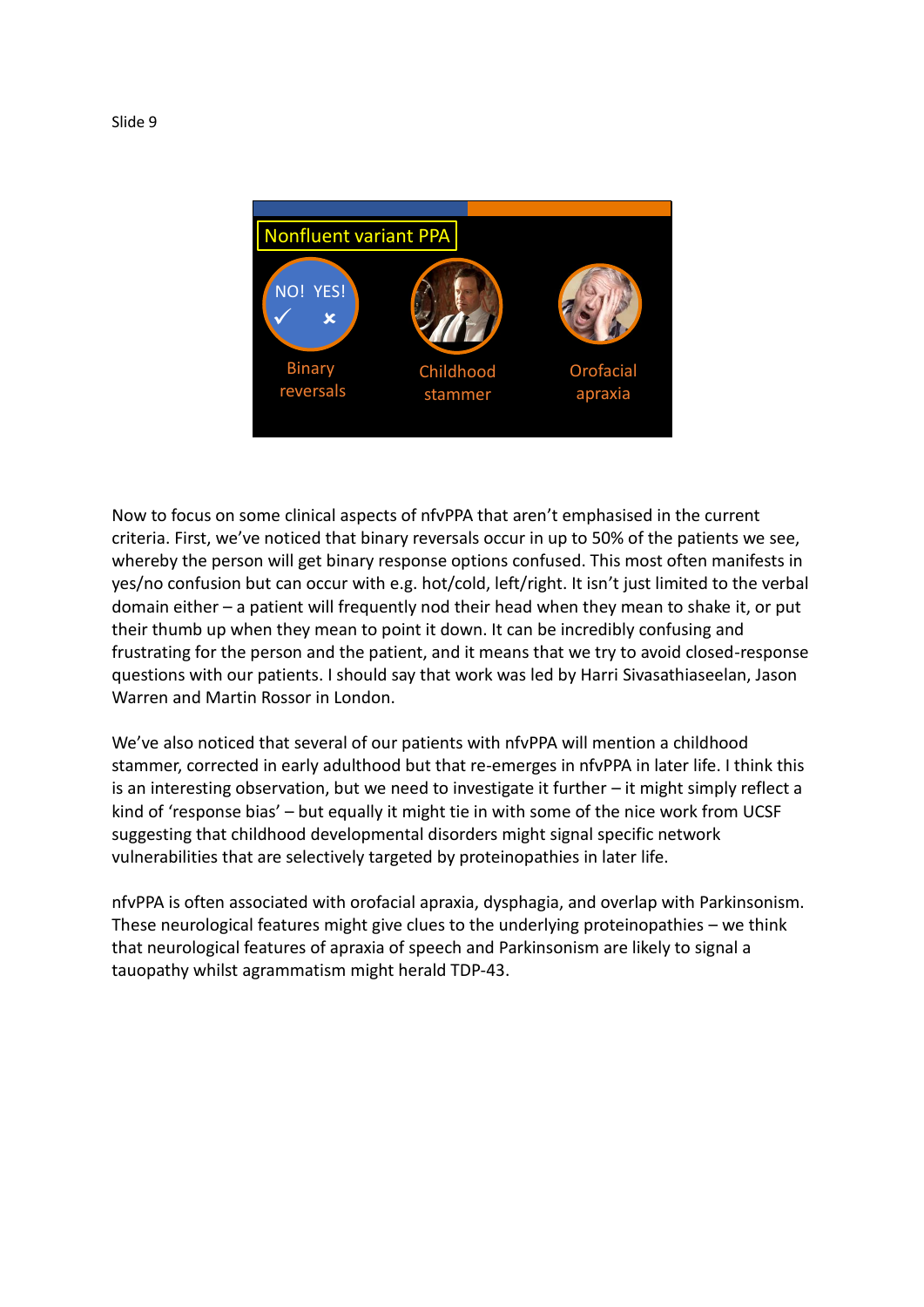

Now to focus on some clinical aspects of nfvPPA that aren't emphasised in the current criteria. First, we've noticed that binary reversals occur in up to 50% of the patients we see, whereby the person will get binary response options confused. This most often manifests in yes/no confusion but can occur with e.g. hot/cold, left/right. It isn't just limited to the verbal domain either – a patient will frequently nod their head when they mean to shake it, or put their thumb up when they mean to point it down. It can be incredibly confusing and frustrating for the person and the patient, and it means that we try to avoid closed-response questions with our patients. I should say that work was led by Harri Sivasathiaseelan, Jason Warren and Martin Rossor in London.

We've also noticed that several of our patients with nfvPPA will mention a childhood stammer, corrected in early adulthood but that re-emerges in nfvPPA in later life. I think this is an interesting observation, but we need to investigate it further – it might simply reflect a kind of 'response bias' – but equally it might tie in with some of the nice work from UCSF suggesting that childhood developmental disorders might signal specific network vulnerabilities that are selectively targeted by proteinopathies in later life.

nfvPPA is often associated with orofacial apraxia, dysphagia, and overlap with Parkinsonism. These neurological features might give clues to the underlying proteinopathies – we think that neurological features of apraxia of speech and Parkinsonism are likely to signal a tauopathy whilst agrammatism might herald TDP-43.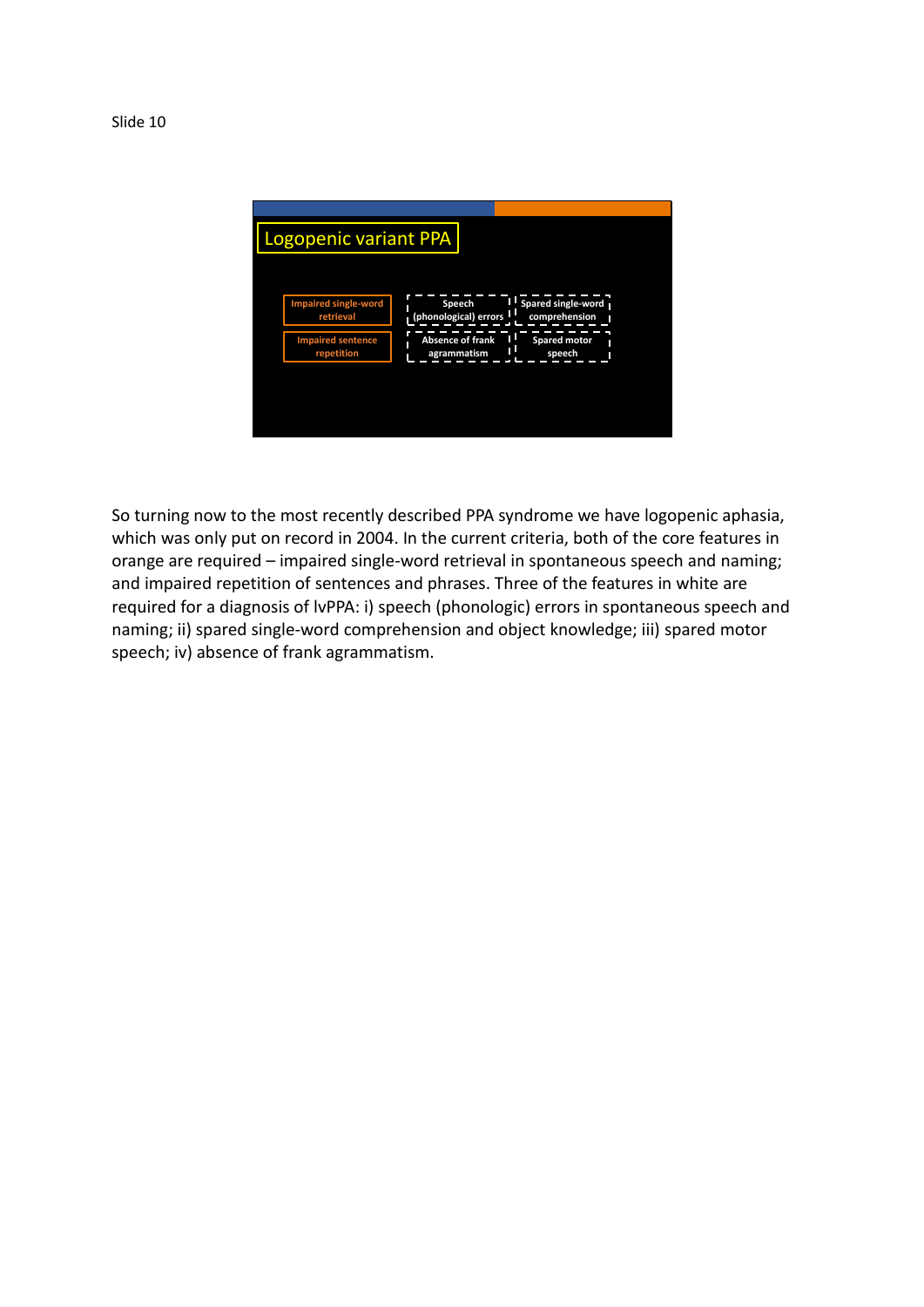**Impaired single-word retrieval Impaired sentence repetition Speech (phonological) errors Absence of frank agrammatism Spared single-word comprehension Spared motor speech** Logopenic variant PPA

So turning now to the most recently described PPA syndrome we have logopenic aphasia, which was only put on record in 2004. In the current criteria, both of the core features in orange are required – impaired single-word retrieval in spontaneous speech and naming; and impaired repetition of sentences and phrases. Three of the features in white are required for a diagnosis of lvPPA: i) speech (phonologic) errors in spontaneous speech and naming; ii) spared single-word comprehension and object knowledge; iii) spared motor speech; iv) absence of frank agrammatism.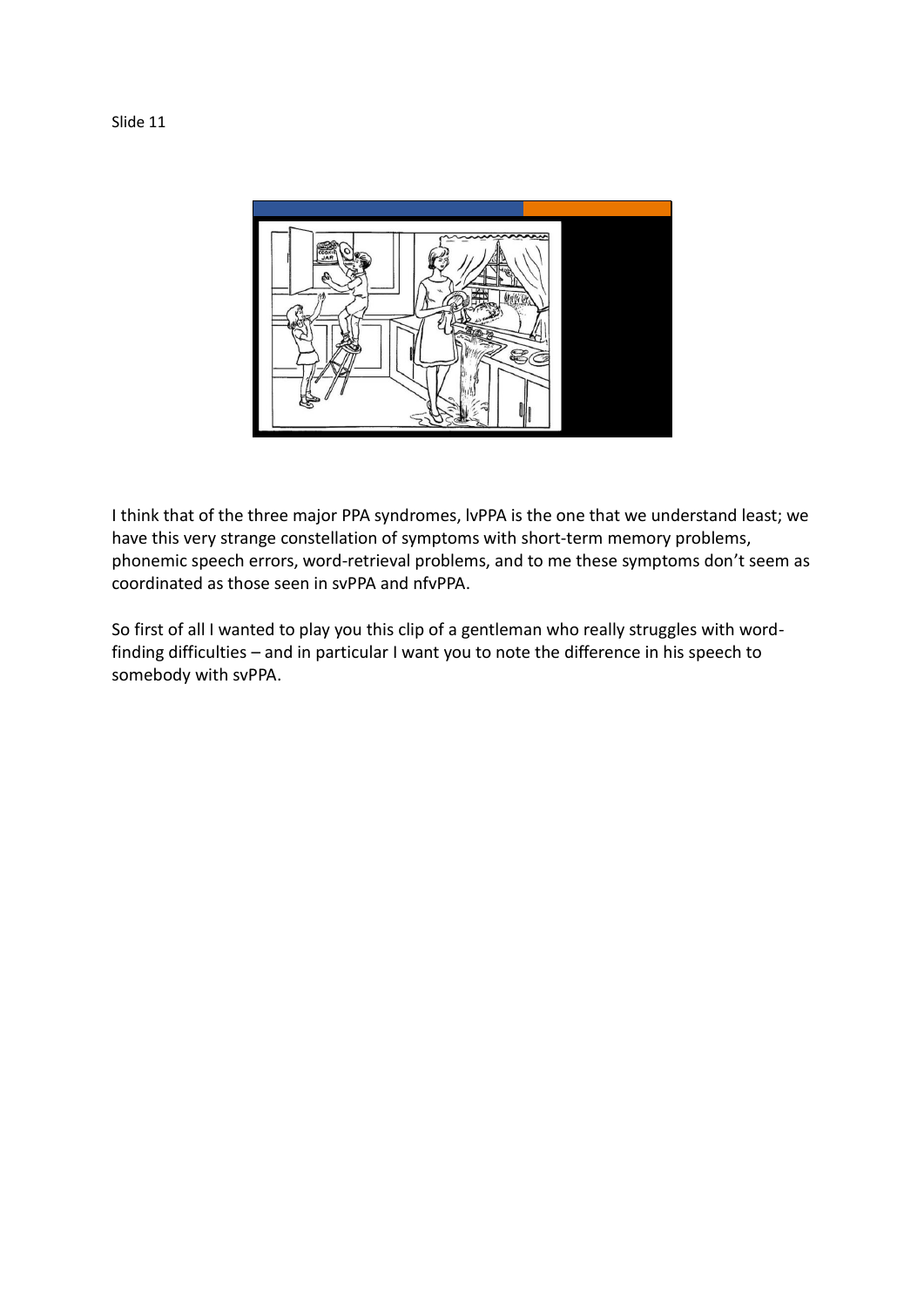

I think that of the three major PPA syndromes, lvPPA is the one that we understand least; we have this very strange constellation of symptoms with short-term memory problems, phonemic speech errors, word-retrieval problems, and to me these symptoms don't seem as coordinated as those seen in svPPA and nfvPPA.

So first of all I wanted to play you this clip of a gentleman who really struggles with wordfinding difficulties – and in particular I want you to note the difference in his speech to somebody with svPPA.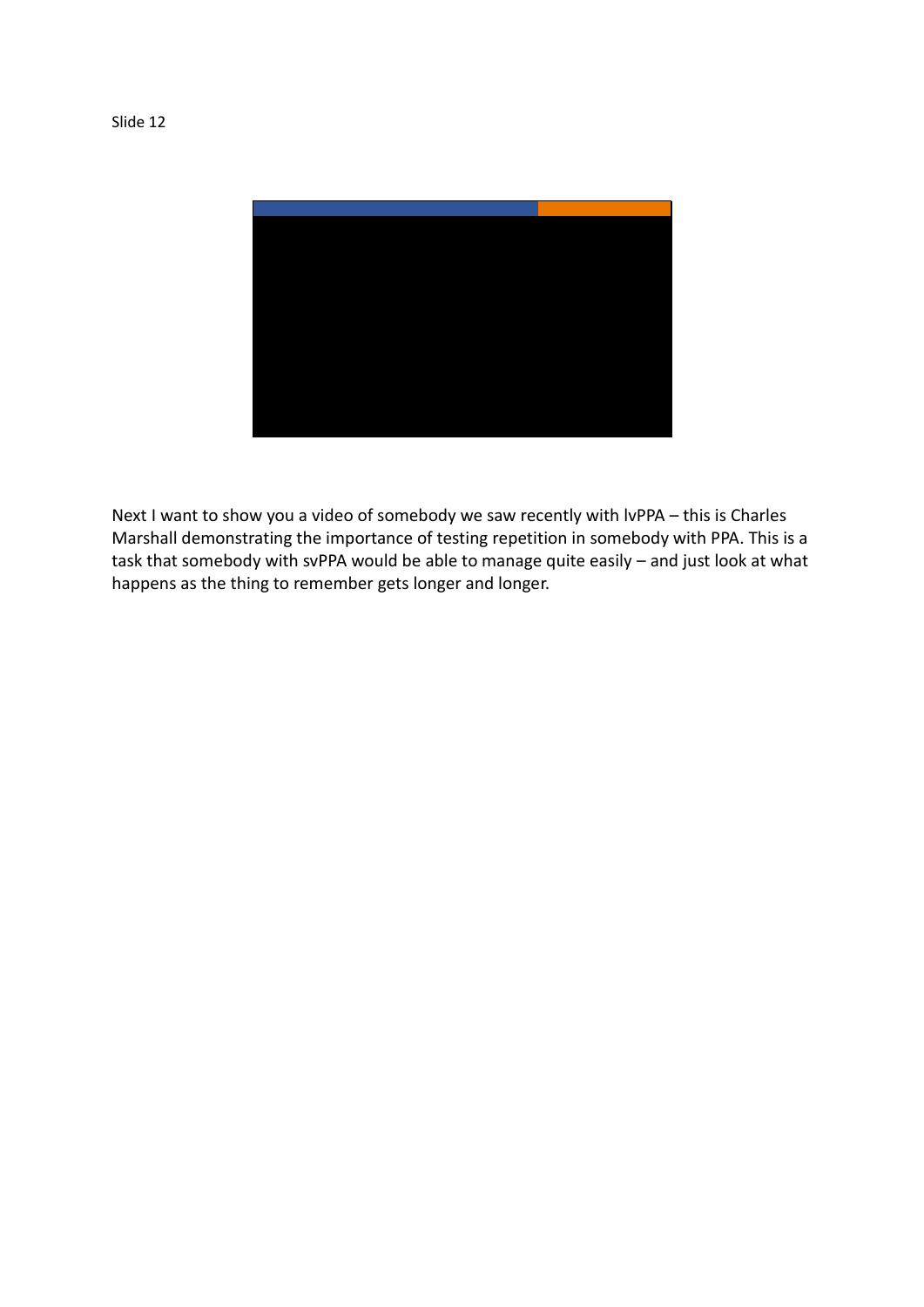

Next I want to show you a video of somebody we saw recently with lvPPA – this is Charles Marshall demonstrating the importance of testing repetition in somebody with PPA. This is a task that somebody with svPPA would be able to manage quite easily – and just look at what happens as the thing to remember gets longer and longer.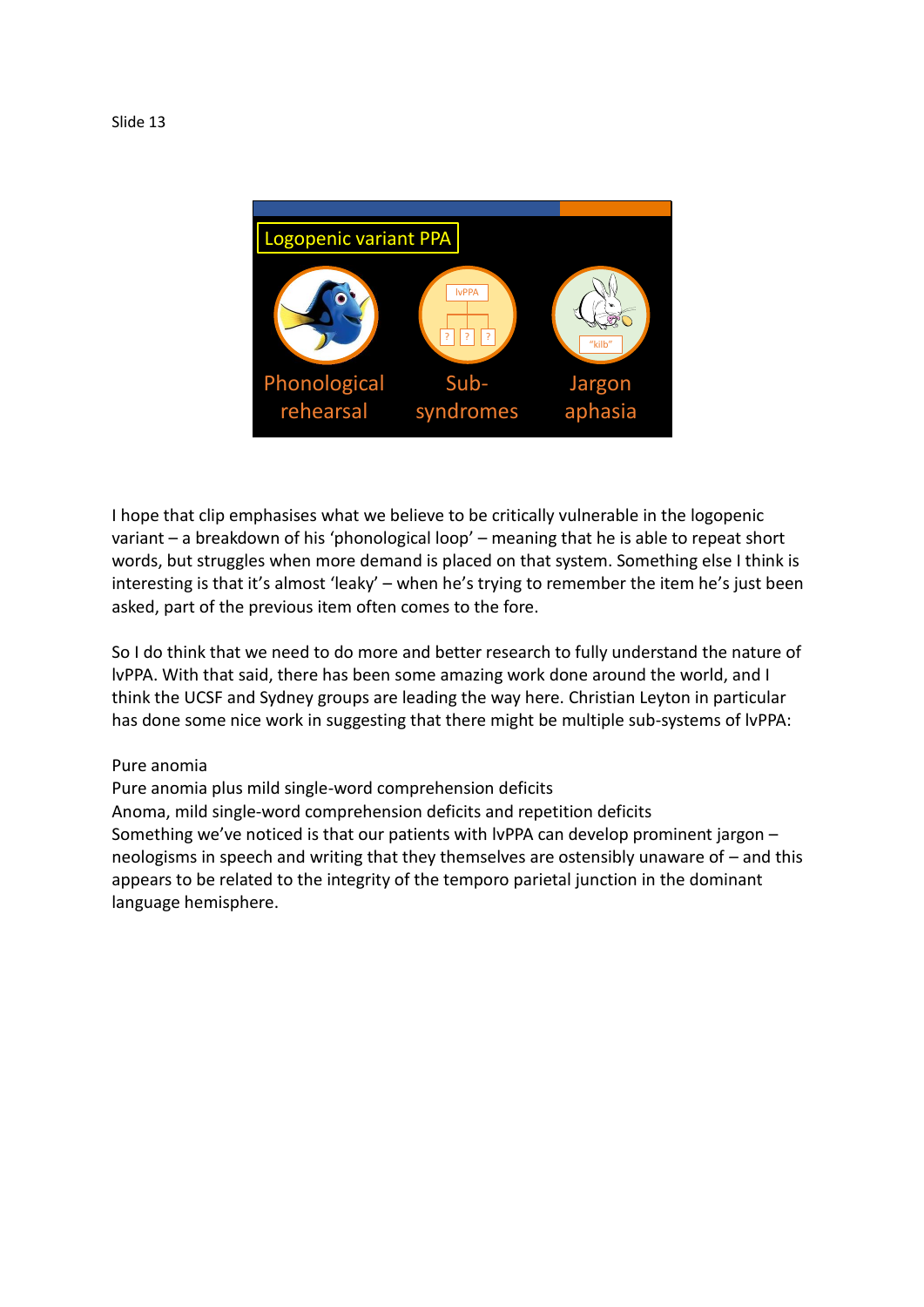

I hope that clip emphasises what we believe to be critically vulnerable in the logopenic variant – a breakdown of his 'phonological loop' – meaning that he is able to repeat short words, but struggles when more demand is placed on that system. Something else I think is interesting is that it's almost 'leaky' – when he's trying to remember the item he's just been asked, part of the previous item often comes to the fore.

So I do think that we need to do more and better research to fully understand the nature of lvPPA. With that said, there has been some amazing work done around the world, and I think the UCSF and Sydney groups are leading the way here. Christian Leyton in particular has done some nice work in suggesting that there might be multiple sub-systems of lvPPA:

## Pure anomia

Pure anomia plus mild single-word comprehension deficits Anoma, mild single-word comprehension deficits and repetition deficits Something we've noticed is that our patients with lvPPA can develop prominent jargon – neologisms in speech and writing that they themselves are ostensibly unaware of – and this appears to be related to the integrity of the temporo parietal junction in the dominant language hemisphere.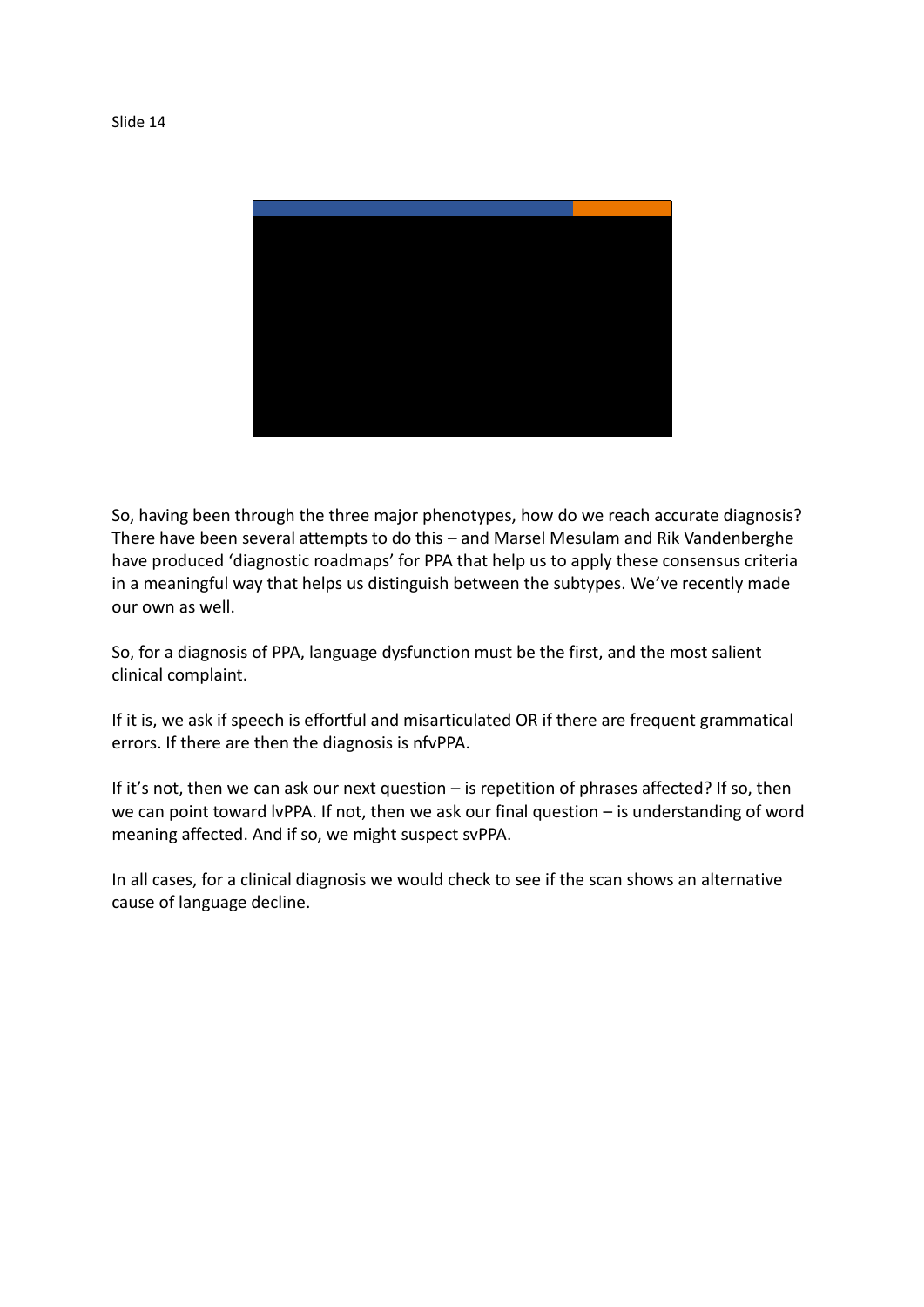

So, having been through the three major phenotypes, how do we reach accurate diagnosis? There have been several attempts to do this – and Marsel Mesulam and Rik Vandenberghe have produced 'diagnostic roadmaps' for PPA that help us to apply these consensus criteria in a meaningful way that helps us distinguish between the subtypes. We've recently made our own as well.

So, for a diagnosis of PPA, language dysfunction must be the first, and the most salient clinical complaint.

If it is, we ask if speech is effortful and misarticulated OR if there are frequent grammatical errors. If there are then the diagnosis is nfvPPA.

If it's not, then we can ask our next question – is repetition of phrases affected? If so, then we can point toward lvPPA. If not, then we ask our final question – is understanding of word meaning affected. And if so, we might suspect svPPA.

In all cases, for a clinical diagnosis we would check to see if the scan shows an alternative cause of language decline.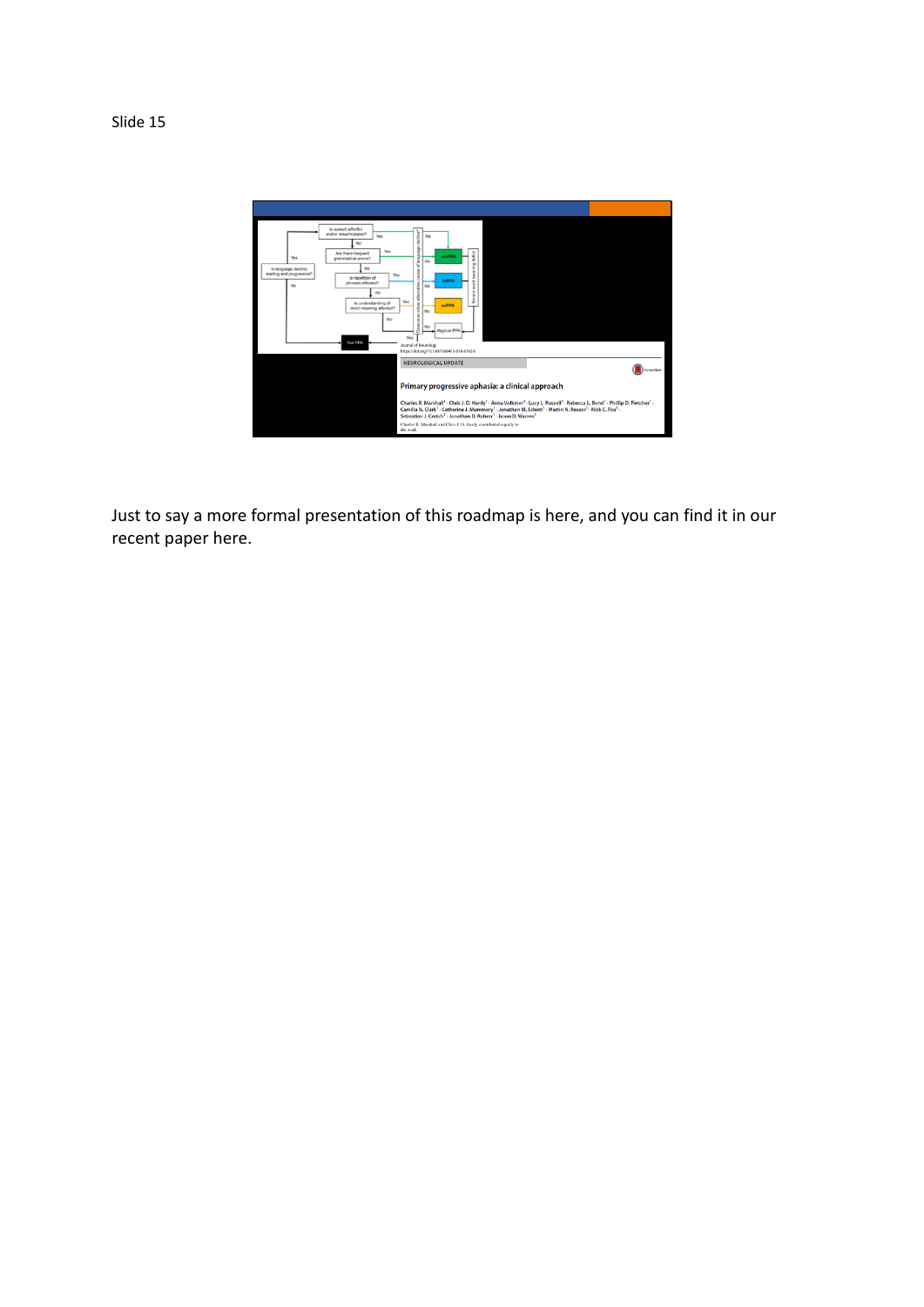

Just to say a more formal presentation of this roadmap is here, and you can find it in our recent paper here.

Slide 15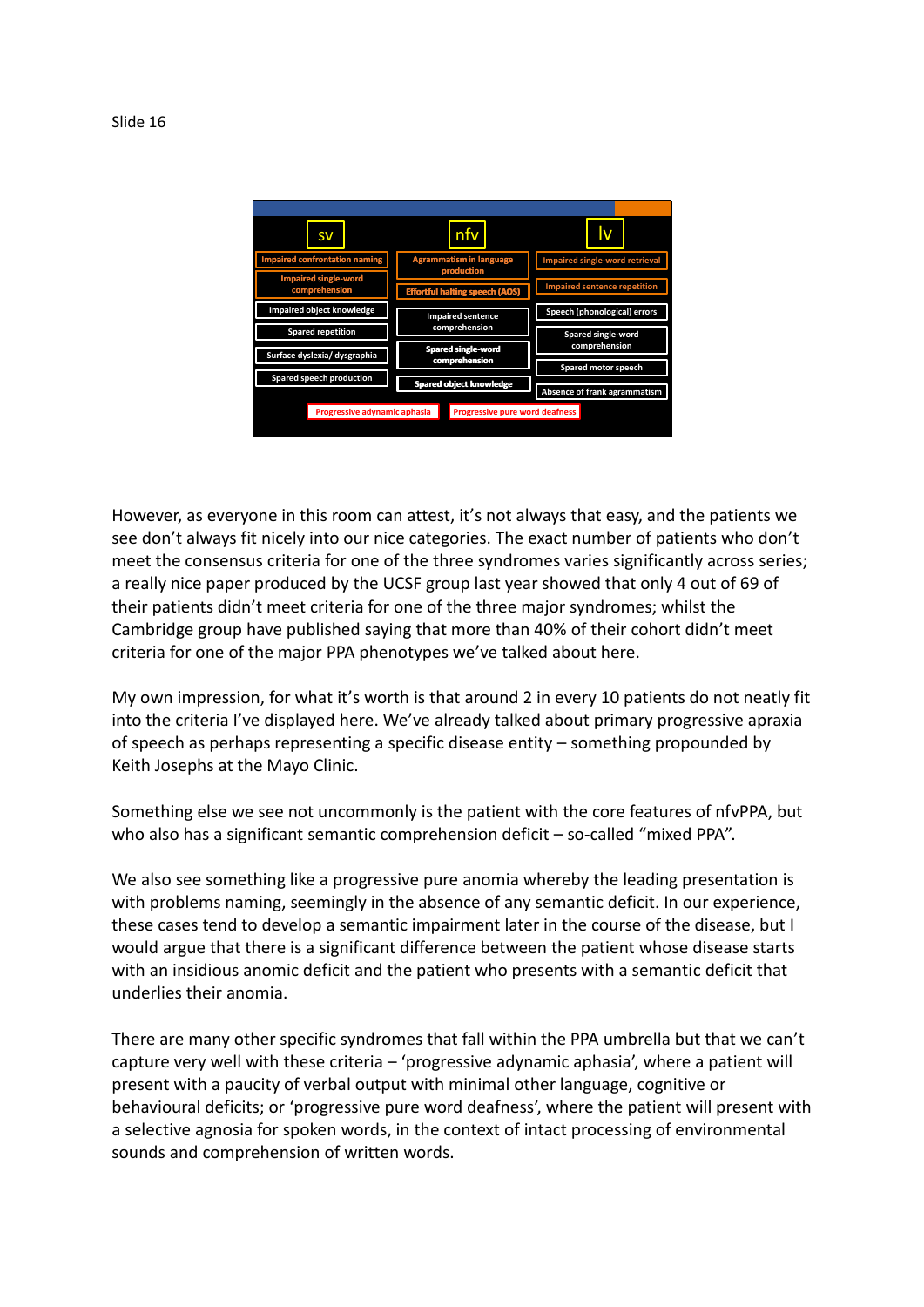

However, as everyone in this room can attest, it's not always that easy, and the patients we see don't always fit nicely into our nice categories. The exact number of patients who don't meet the consensus criteria for one of the three syndromes varies significantly across series; a really nice paper produced by the UCSF group last year showed that only 4 out of 69 of their patients didn't meet criteria for one of the three major syndromes; whilst the Cambridge group have published saying that more than 40% of their cohort didn't meet criteria for one of the major PPA phenotypes we've talked about here.

My own impression, for what it's worth is that around 2 in every 10 patients do not neatly fit into the criteria I've displayed here. We've already talked about primary progressive apraxia of speech as perhaps representing a specific disease entity – something propounded by Keith Josephs at the Mayo Clinic.

Something else we see not uncommonly is the patient with the core features of nfvPPA, but who also has a significant semantic comprehension deficit – so-called "mixed PPA".

We also see something like a progressive pure anomia whereby the leading presentation is with problems naming, seemingly in the absence of any semantic deficit. In our experience, these cases tend to develop a semantic impairment later in the course of the disease, but I would argue that there is a significant difference between the patient whose disease starts with an insidious anomic deficit and the patient who presents with a semantic deficit that underlies their anomia.

There are many other specific syndromes that fall within the PPA umbrella but that we can't capture very well with these criteria – 'progressive adynamic aphasia', where a patient will present with a paucity of verbal output with minimal other language, cognitive or behavioural deficits; or 'progressive pure word deafness', where the patient will present with a selective agnosia for spoken words, in the context of intact processing of environmental sounds and comprehension of written words.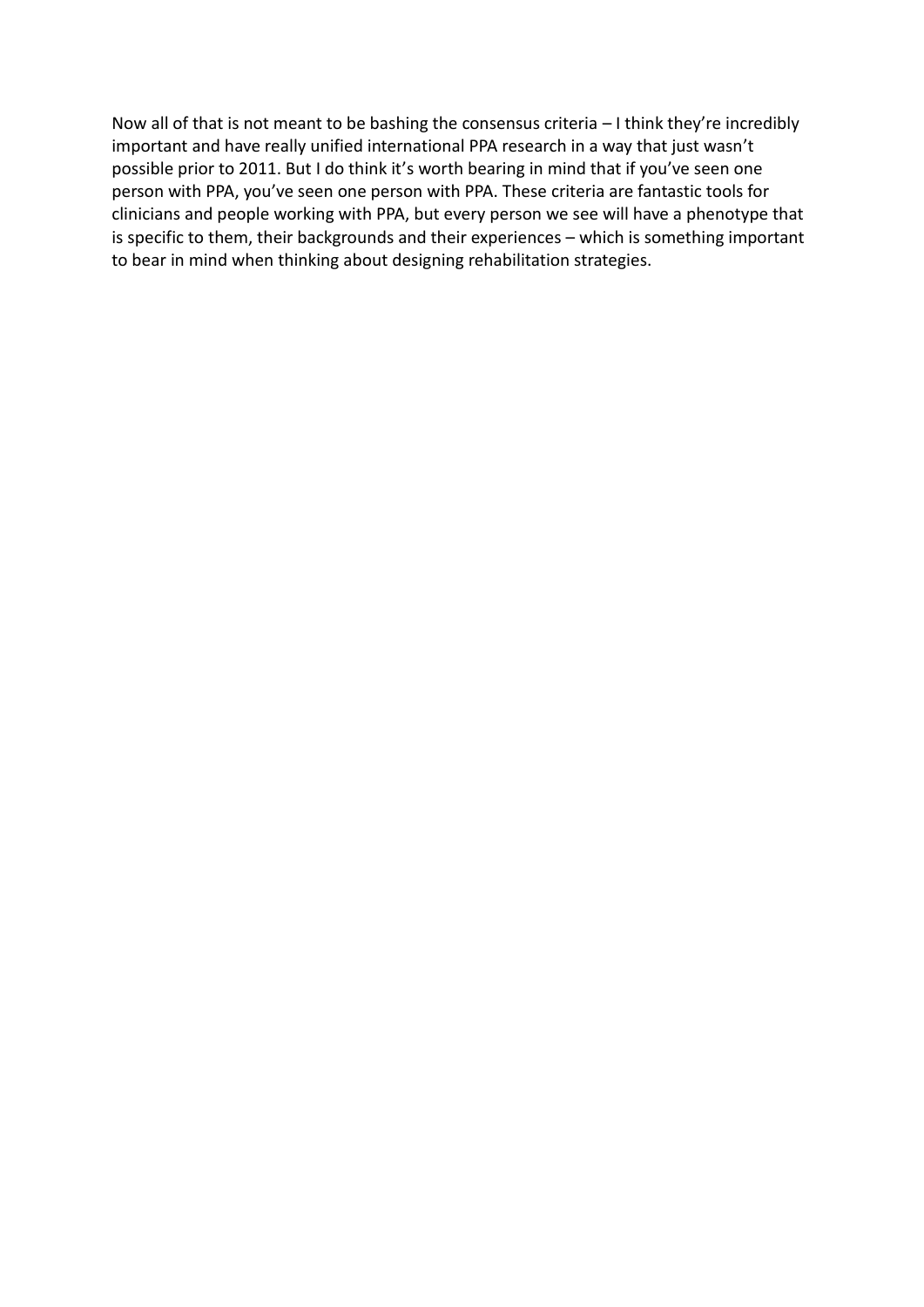Now all of that is not meant to be bashing the consensus criteria – I think they're incredibly important and have really unified international PPA research in a way that just wasn't possible prior to 2011. But I do think it's worth bearing in mind that if you've seen one person with PPA, you've seen one person with PPA. These criteria are fantastic tools for clinicians and people working with PPA, but every person we see will have a phenotype that is specific to them, their backgrounds and their experiences – which is something important to bear in mind when thinking about designing rehabilitation strategies.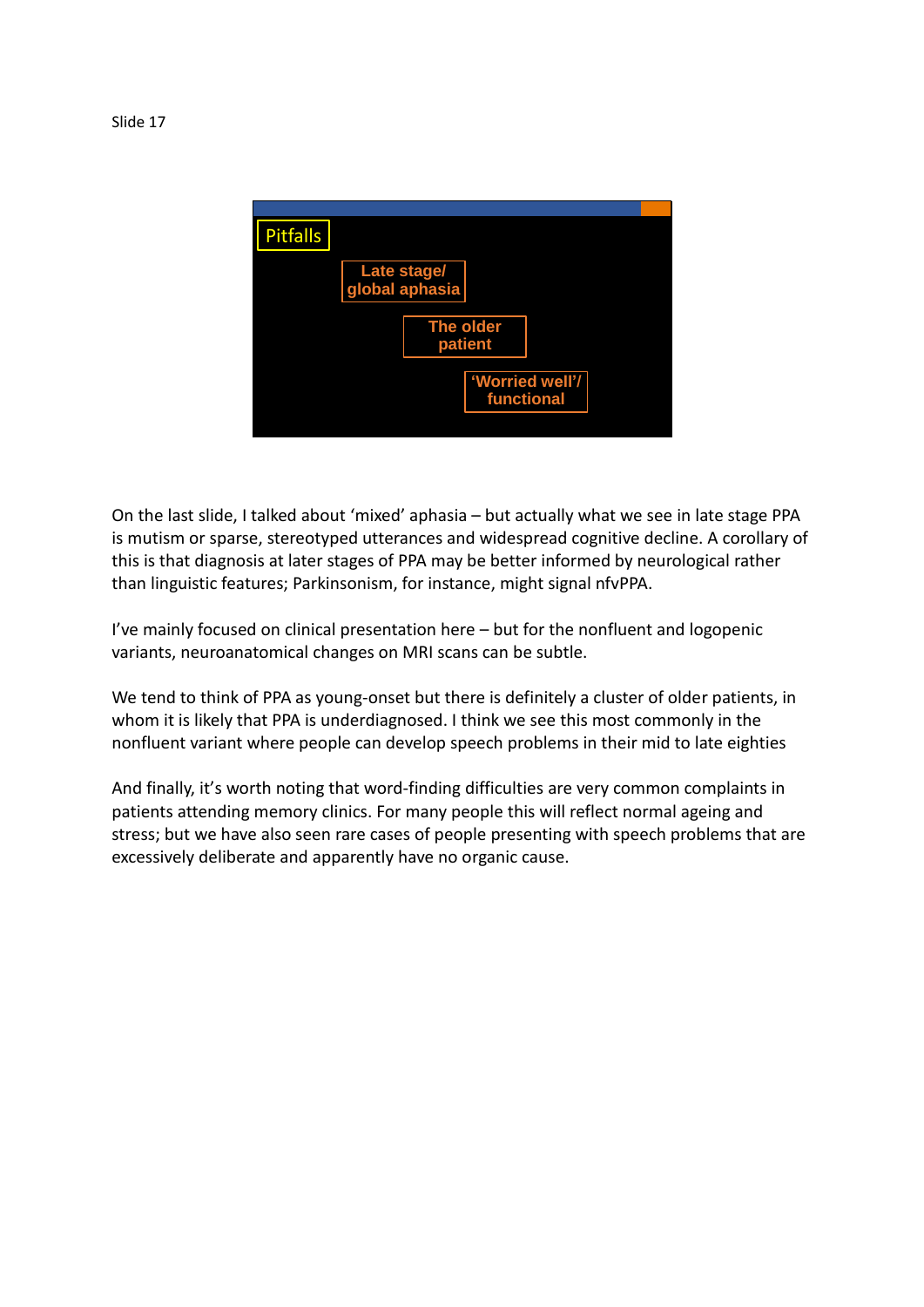

On the last slide, I talked about 'mixed' aphasia – but actually what we see in late stage PPA is mutism or sparse, stereotyped utterances and widespread cognitive decline. A corollary of this is that diagnosis at later stages of PPA may be better informed by neurological rather than linguistic features; Parkinsonism, for instance, might signal nfvPPA.

I've mainly focused on clinical presentation here – but for the nonfluent and logopenic variants, neuroanatomical changes on MRI scans can be subtle.

We tend to think of PPA as young-onset but there is definitely a cluster of older patients, in whom it is likely that PPA is underdiagnosed. I think we see this most commonly in the nonfluent variant where people can develop speech problems in their mid to late eighties

And finally, it's worth noting that word-finding difficulties are very common complaints in patients attending memory clinics. For many people this will reflect normal ageing and stress; but we have also seen rare cases of people presenting with speech problems that are excessively deliberate and apparently have no organic cause.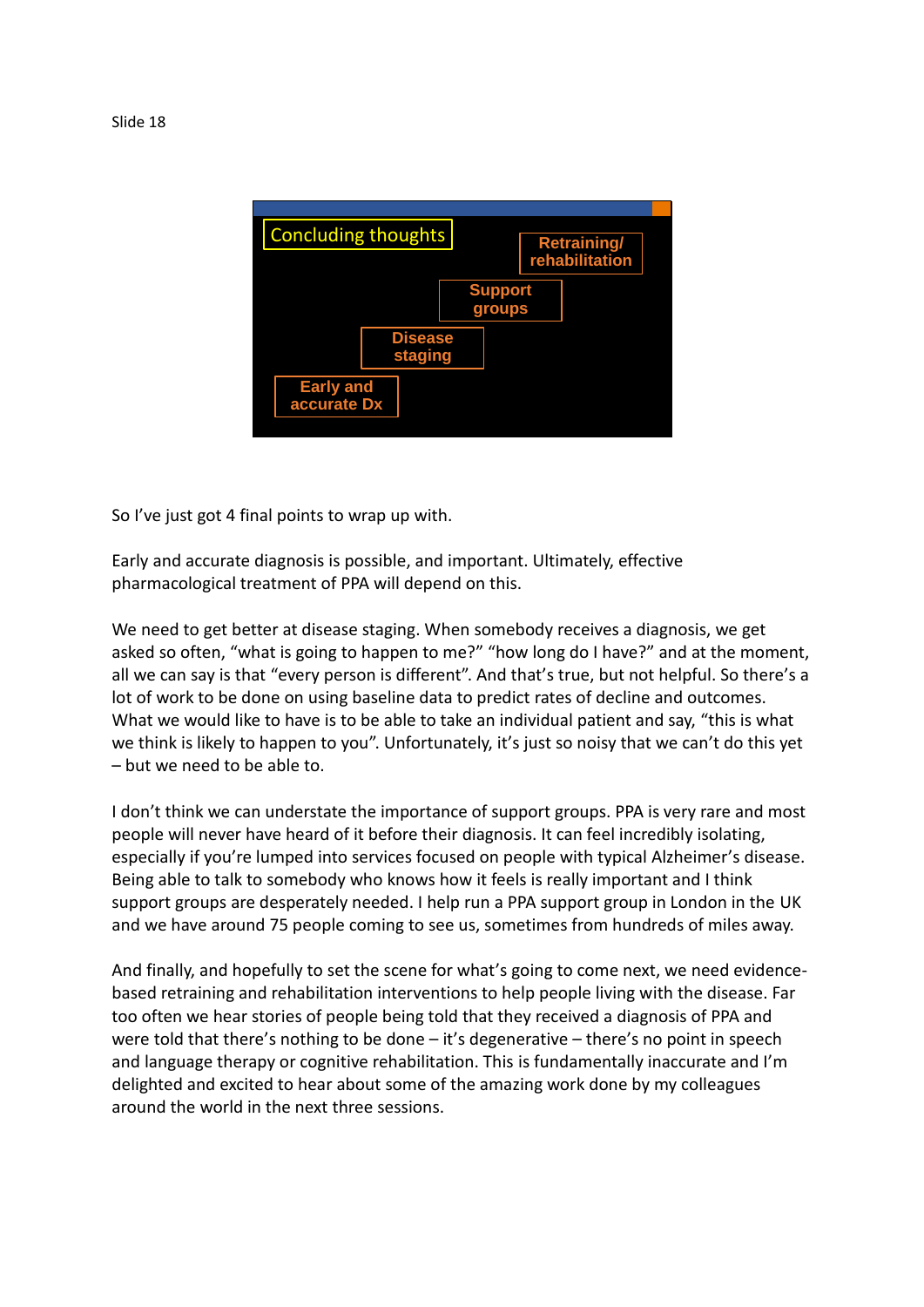

So I've just got 4 final points to wrap up with.

Early and accurate diagnosis is possible, and important. Ultimately, effective pharmacological treatment of PPA will depend on this.

We need to get better at disease staging. When somebody receives a diagnosis, we get asked so often, "what is going to happen to me?" "how long do I have?" and at the moment, all we can say is that "every person is different". And that's true, but not helpful. So there's a lot of work to be done on using baseline data to predict rates of decline and outcomes. What we would like to have is to be able to take an individual patient and say, "this is what we think is likely to happen to you". Unfortunately, it's just so noisy that we can't do this yet – but we need to be able to.

I don't think we can understate the importance of support groups. PPA is very rare and most people will never have heard of it before their diagnosis. It can feel incredibly isolating, especially if you're lumped into services focused on people with typical Alzheimer's disease. Being able to talk to somebody who knows how it feels is really important and I think support groups are desperately needed. I help run a PPA support group in London in the UK and we have around 75 people coming to see us, sometimes from hundreds of miles away.

And finally, and hopefully to set the scene for what's going to come next, we need evidencebased retraining and rehabilitation interventions to help people living with the disease. Far too often we hear stories of people being told that they received a diagnosis of PPA and were told that there's nothing to be done – it's degenerative – there's no point in speech and language therapy or cognitive rehabilitation. This is fundamentally inaccurate and I'm delighted and excited to hear about some of the amazing work done by my colleagues around the world in the next three sessions.